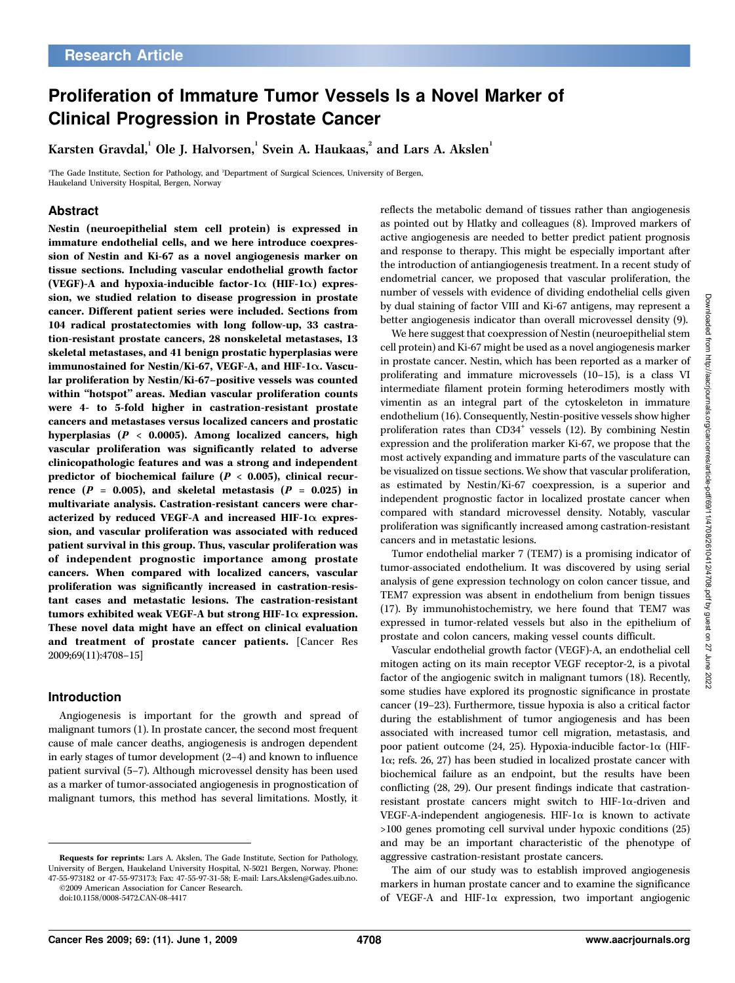# Proliferation of Immature Tumor Vessels Is a Novel Marker of Clinical Progression in Prostate Cancer

Karsten Gravdal, <sup>1</sup> Ole L. Halvorsen, <sup>1</sup> Svein A. Haukaas, 2 and Lars A. Akslen<sup>1</sup>

1 The Gade Institute, Section for Pathology, and <sup>2</sup> Department of Surgical Sciences, University of Bergen, Haukeland University Hospital, Bergen, Norway

# Abstract

Nestin (neuroepithelial stem cell protein) is expressed in immature endothelial cells, and we here introduce coexpression of Nestin and Ki-67 as a novel angiogenesis marker on tissue sections. Including vascular endothelial growth factor (VEGF)-A and hypoxia-inducible factor-1 $\alpha$  (HIF-1 $\alpha$ ) expression, we studied relation to disease progression in prostate cancer. Different patient series were included. Sections from 104 radical prostatectomies with long follow-up, 33 castration-resistant prostate cancers, 28 nonskeletal metastases, 13 skeletal metastases, and 41 benign prostatic hyperplasias were immunostained for Nestin/Ki-67, VEGF-A, and HIF-1 $\alpha$ . Vascular proliferation by Nestin/Ki-67–positive vessels was counted within ''hotspot'' areas. Median vascular proliferation counts were 4- to 5-fold higher in castration-resistant prostate cancers and metastases versus localized cancers and prostatic hyperplasias (P < 0.0005). Among localized cancers, high vascular proliferation was significantly related to adverse clinicopathologic features and was a strong and independent predictor of biochemical failure ( $P < 0.005$ ), clinical recurrence  $(P = 0.005)$ , and skeletal metastasis  $(P = 0.025)$  in multivariate analysis. Castration-resistant cancers were characterized by reduced VEGF-A and increased HIF-1 $\alpha$  expression, and vascular proliferation was associated with reduced patient survival in this group. Thus, vascular proliferation was of independent prognostic importance among prostate cancers. When compared with localized cancers, vascular proliferation was significantly increased in castration-resistant cases and metastatic lesions. The castration-resistant tumors exhibited weak VEGF-A but strong HIF-1 $\alpha$  expression. These novel data might have an effect on clinical evaluation and treatment of prostate cancer patients. [Cancer Res 2009;69(11):4708–15]

## Introduction

Angiogenesis is important for the growth and spread of malignant tumors (1). In prostate cancer, the second most frequent cause of male cancer deaths, angiogenesis is androgen dependent in early stages of tumor development (2–4) and known to influence patient survival (5–7). Although microvessel density has been used as a marker of tumor-associated angiogenesis in prognostication of malignant tumors, this method has several limitations. Mostly, it

©2009 American Association for Cancer Research. doi:10.1158/0008-5472.CAN-08-4417

reflects the metabolic demand of tissues rather than angiogenesis as pointed out by Hlatky and colleagues (8). Improved markers of active angiogenesis are needed to better predict patient prognosis and response to therapy. This might be especially important after the introduction of antiangiogenesis treatment. In a recent study of endometrial cancer, we proposed that vascular proliferation, the number of vessels with evidence of dividing endothelial cells given by dual staining of factor VIII and Ki-67 antigens, may represent a better angiogenesis indicator than overall microvessel density (9).

We here suggest that coexpression of Nestin (neuroepithelial stem cell protein) and Ki-67 might be used as a novel angiogenesis marker in prostate cancer. Nestin, which has been reported as a marker of proliferating and immature microvessels (10–15), is a class VI intermediate filament protein forming heterodimers mostly with vimentin as an integral part of the cytoskeleton in immature endothelium (16). Consequently, Nestin-positive vessels show higher proliferation rates than  $CD34^+$  vessels (12). By combining Nestin expression and the proliferation marker Ki-67, we propose that the most actively expanding and immature parts of the vasculature can be visualized on tissue sections. We show that vascular proliferation, as estimated by Nestin/Ki-67 coexpression, is a superior and independent prognostic factor in localized prostate cancer when compared with standard microvessel density. Notably, vascular proliferation was significantly increased among castration-resistant cancers and in metastatic lesions.

Tumor endothelial marker 7 (TEM7) is a promising indicator of tumor-associated endothelium. It was discovered by using serial analysis of gene expression technology on colon cancer tissue, and TEM7 expression was absent in endothelium from benign tissues (17). By immunohistochemistry, we here found that TEM7 was expressed in tumor-related vessels but also in the epithelium of prostate and colon cancers, making vessel counts difficult.

Vascular endothelial growth factor (VEGF)-A, an endothelial cell mitogen acting on its main receptor VEGF receptor-2, is a pivotal factor of the angiogenic switch in malignant tumors (18). Recently, some studies have explored its prognostic significance in prostate cancer (19–23). Furthermore, tissue hypoxia is also a critical factor during the establishment of tumor angiogenesis and has been associated with increased tumor cell migration, metastasis, and poor patient outcome (24, 25). Hypoxia-inducible factor-1a (HIF-1a; refs. 26, 27) has been studied in localized prostate cancer with biochemical failure as an endpoint, but the results have been conflicting (28, 29). Our present findings indicate that castrationresistant prostate cancers might switch to HIF-1 $\alpha$ -driven and VEGF-A-independent angiogenesis. HIF-1 $\alpha$  is known to activate >100 genes promoting cell survival under hypoxic conditions (25) and may be an important characteristic of the phenotype of aggressive castration-resistant prostate cancers.

The aim of our study was to establish improved angiogenesis markers in human prostate cancer and to examine the significance of VEGF-A and HIF-1a expression, two important angiogenic

Requests for reprints: Lars A. Akslen, The Gade Institute, Section for Pathology, University of Bergen, Haukeland University Hospital, N-5021 Bergen, Norway. Phone: 47-55-973182 or 47-55-973173; Fax: 47-55-97-31-58; E-mail: Lars.Akslen@Gades.uib.no.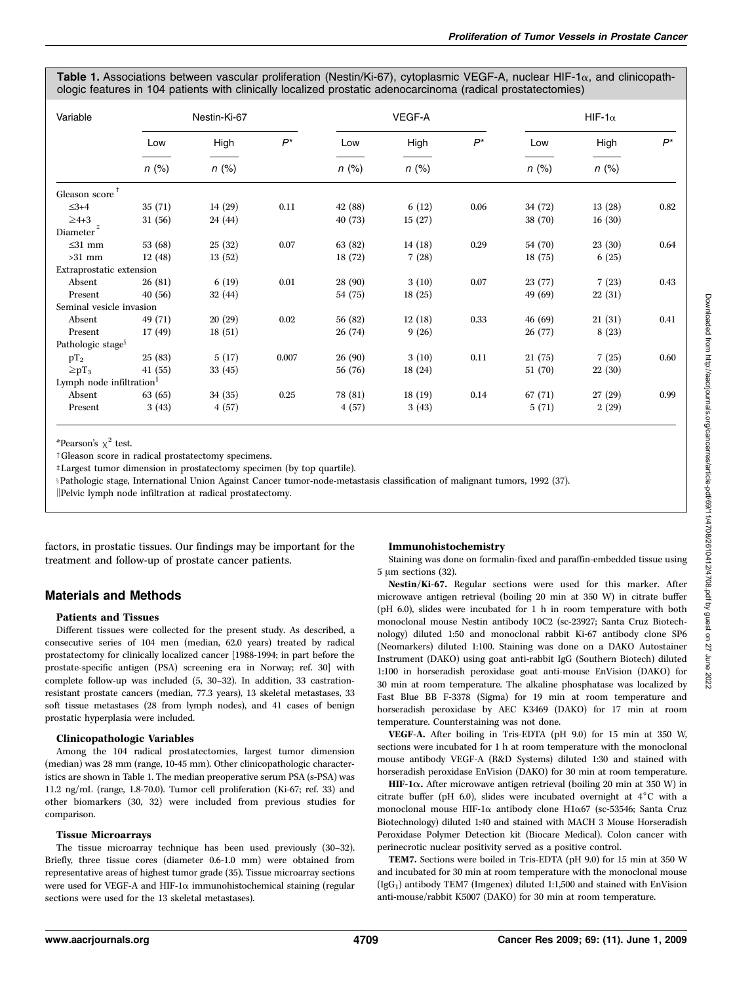Table 1. Associations between vascular proliferation (Nestin/Ki-67), cytoplasmic VEGF-A, nuclear HIF-1 $\alpha$ , and clinicopathologic features in 104 patients with clinically localized prostatic adenocarcinoma (radical prostatectomies)

| Variable                      | Nestin-Ki-67   |                 |       | VEGF-A         |                 |       | HIF-1 $\alpha$ |                 |       |
|-------------------------------|----------------|-----------------|-------|----------------|-----------------|-------|----------------|-----------------|-------|
|                               | Low<br>$n$ (%) | High<br>$n$ (%) | $P^*$ | Low<br>$n$ (%) | High<br>$n$ (%) | $P^*$ | Low<br>$n$ (%) | High<br>$n$ (%) | $P^*$ |
|                               |                |                 |       |                |                 |       |                |                 |       |
| $\leq 3+4$                    | 35(71)         | 14(29)          | 0.11  | 42 (88)        | 6(12)           | 0.06  | 34 (72)        | 13(28)          | 0.82  |
| $\geq 4+3$                    | 31(56)         | 24 (44)         |       | 40(73)         | 15(27)          |       | 38 (70)        | 16(30)          |       |
| $\mathrm{Diameter}^{\,\ddag}$ |                |                 |       |                |                 |       |                |                 |       |
| $\leq$ 31 mm                  | 53 (68)        | 25(32)          | 0.07  | 63 (82)        | 14(18)          | 0.29  | 54 (70)        | 23(30)          | 0.64  |
| $>31$ mm                      | 12(48)         | 13(52)          |       | 18(72)         | 7(28)           |       | 18(75)         | 6(25)           |       |
| Extraprostatic extension      |                |                 |       |                |                 |       |                |                 |       |
| Absent                        | 26(81)         | 6(19)           | 0.01  | 28 (90)        | 3(10)           | 0.07  | 23(77)         | 7(23)           | 0.43  |
| Present                       | 40(56)         | 32(44)          |       | 54 (75)        | 18(25)          |       | 49 (69)        | 22(31)          |       |
| Seminal vesicle invasion      |                |                 |       |                |                 |       |                |                 |       |
| Absent                        | 49 (71)        | 20(29)          | 0.02  | 56 (82)        | 12(18)          | 0.33  | 46(69)         | 21(31)          | 0.41  |
| Present                       | 17(49)         | 18(51)          |       | 26(74)         | 9(26)           |       | 26(77)         | 8(23)           |       |
| Pathologic stage <sup>§</sup> |                |                 |       |                |                 |       |                |                 |       |
| $pT_2$                        | 25(83)         | 5(17)           | 0.007 | 26(90)         | 3(10)           | 0.11  | 21(75)         | 7(25)           | 0.60  |
| $\geq pT_3$                   | 41(55)         | 33(45)          |       | 56 (76)        | 18(24)          |       | 51 (70)        | 22(30)          |       |
| Lymph node infiltration       |                |                 |       |                |                 |       |                |                 |       |
| Absent                        | 63 (65)        | 34(35)          | 0.25  | 78 (81)        | 18(19)          | 0.14  | 67(71)         | 27(29)          | 0.99  |
| Present                       | 3(43)          | 4(57)           |       | 4(57)          | 3(43)           |       | 5(71)          | 2(29)           |       |

\*Pearson's  $\chi^2$  test.

tGleason score in radical prostatectomy specimens.

<sup>‡</sup>Largest tumor dimension in prostatectomy specimen (by top quartile).

<sup>x</sup>Pathologic stage, International Union Against Cancer tumor-node-metastasis classification of malignant tumors, 1992 (37).

Pelvic lymph node infiltration at radical prostatectomy.

factors, in prostatic tissues. Our findings may be important for the treatment and follow-up of prostate cancer patients.

## Materials and Methods

#### Patients and Tissues

Different tissues were collected for the present study. As described, a consecutive series of 104 men (median, 62.0 years) treated by radical prostatectomy for clinically localized cancer [1988-1994; in part before the prostate-specific antigen (PSA) screening era in Norway; ref. 30] with complete follow-up was included (5, 30–32). In addition, 33 castrationresistant prostate cancers (median, 77.3 years), 13 skeletal metastases, 33 soft tissue metastases (28 from lymph nodes), and 41 cases of benign prostatic hyperplasia were included.

#### Clinicopathologic Variables

Among the 104 radical prostatectomies, largest tumor dimension (median) was 28 mm (range, 10-45 mm). Other clinicopathologic characteristics are shown in Table 1. The median preoperative serum PSA (s-PSA) was 11.2 ng/mL (range, 1.8-70.0). Tumor cell proliferation (Ki-67; ref. 33) and other biomarkers (30, 32) were included from previous studies for comparison.

#### Tissue Microarrays

The tissue microarray technique has been used previously (30–32). Briefly, three tissue cores (diameter 0.6-1.0 mm) were obtained from representative areas of highest tumor grade (35). Tissue microarray sections were used for VEGF-A and HIF-1a immunohistochemical staining (regular sections were used for the 13 skeletal metastases).

#### Immunohistochemistry

Staining was done on formalin-fixed and paraffin-embedded tissue using  $5 \mu m$  sections (32).

Nestin/Ki-67. Regular sections were used for this marker. After microwave antigen retrieval (boiling 20 min at 350 W) in citrate buffer (pH 6.0), slides were incubated for 1 h in room temperature with both monoclonal mouse Nestin antibody 10C2 (sc-23927; Santa Cruz Biotechnology) diluted 1:50 and monoclonal rabbit Ki-67 antibody clone SP6 (Neomarkers) diluted 1:100. Staining was done on a DAKO Autostainer Instrument (DAKO) using goat anti-rabbit IgG (Southern Biotech) diluted 1:100 in horseradish peroxidase goat anti-mouse EnVision (DAKO) for 30 min at room temperature. The alkaline phosphatase was localized by Fast Blue BB F-3378 (Sigma) for 19 min at room temperature and horseradish peroxidase by AEC K3469 (DAKO) for 17 min at room temperature. Counterstaining was not done.

VEGF-A. After boiling in Tris-EDTA (pH 9.0) for 15 min at 350 W, sections were incubated for 1 h at room temperature with the monoclonal mouse antibody VEGF-A (R&D Systems) diluted 1:30 and stained with horseradish peroxidase EnVision (DAKO) for 30 min at room temperature.

HIF-1 $\alpha$ . After microwave antigen retrieval (boiling 20 min at 350 W) in citrate buffer (pH 6.0), slides were incubated overnight at  $4^{\circ}$ C with a monoclonal mouse HIF-1a antibody clone H1a67 (sc-53546; Santa Cruz Biotechnology) diluted 1:40 and stained with MACH 3 Mouse Horseradish Peroxidase Polymer Detection kit (Biocare Medical). Colon cancer with perinecrotic nuclear positivity served as a positive control.

TEM7. Sections were boiled in Tris-EDTA (pH 9.0) for 15 min at 350 W and incubated for 30 min at room temperature with the monoclonal mouse  $(IGG<sub>1</sub>)$  antibody TEM7 (Imgenex) diluted 1:1,500 and stained with EnVision anti-mouse/rabbit K5007 (DAKO) for 30 min at room temperature.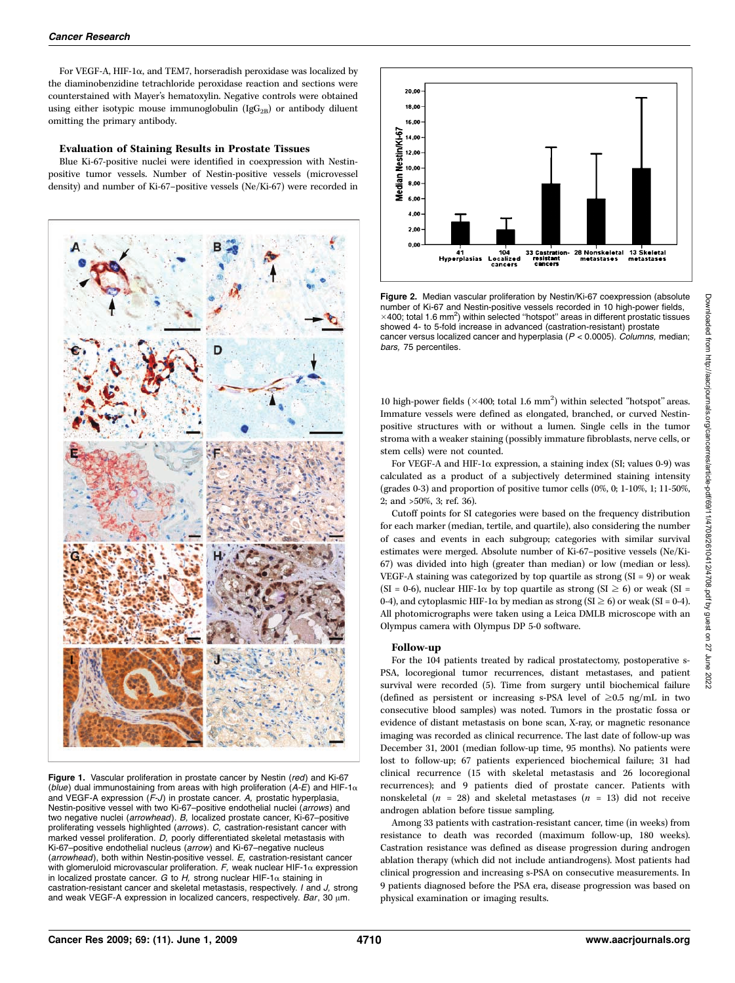For VEGF-A, HIF-1a, and TEM7, horseradish peroxidase was localized by the diaminobenzidine tetrachloride peroxidase reaction and sections were counterstained with Mayer's hematoxylin. Negative controls were obtained using either isotypic mouse immunoglobulin (Ig $G_{2B}$ ) or antibody diluent omitting the primary antibody.

#### Evaluation of Staining Results in Prostate Tissues

Blue Ki-67-positive nuclei were identified in coexpression with Nestinpositive tumor vessels. Number of Nestin-positive vessels (microvessel density) and number of Ki-67–positive vessels (Ne/Ki-67) were recorded in



Figure 1. Vascular proliferation in prostate cancer by Nestin (red) and Ki-67 (blue) dual immunostaining from areas with high proliferation (A-E) and HIF-1 $\alpha$ and VEGF-A expression (F-J) in prostate cancer. A, prostatic hyperplasia, Nestin-positive vessel with two Ki-67–positive endothelial nuclei (arrows) and two negative nuclei (arrowhead). B, localized prostate cancer, Ki-67–positive proliferating vessels highlighted (arrows). C, castration-resistant cancer with marked vessel proliferation. D, poorly differentiated skeletal metastasis with Ki-67–positive endothelial nucleus (arrow) and Ki-67–negative nucleus (arrowhead), both within Nestin-positive vessel. E, castration-resistant cancer with glomeruloid microvascular proliferation. F, weak nuclear HIF-1 $\alpha$  expression in localized prostate cancer. G to H, strong nuclear HIF-1 $\alpha$  staining in castration-resistant cancer and skeletal metastasis, respectively. I and J, strong and weak VEGF-A expression in localized cancers, respectively. Bar, 30  $\mu$ m.



Figure 2. Median vascular proliferation by Nestin/Ki-67 coexpression (absolute number of Ki-67 and Nestin-positive vessels recorded in 10 high-power fields,  $\times$ 400; total 1.6 mm<sup>2</sup>) within selected "hotspot" areas in different prostatic tissues showed 4- to 5-fold increase in advanced (castration-resistant) prostate cancer versus localized cancer and hyperplasia ( $P < 0.0005$ ). Columns, median; bars, 75 percentiles.

10 high-power fields ( $\times 400$ ; total 1.6 mm<sup>2</sup>) within selected "hotspot" areas. Immature vessels were defined as elongated, branched, or curved Nestinpositive structures with or without a lumen. Single cells in the tumor stroma with a weaker staining (possibly immature fibroblasts, nerve cells, or stem cells) were not counted.

For VEGF-A and HIF-1 $\alpha$  expression, a staining index (SI; values 0-9) was calculated as a product of a subjectively determined staining intensity (grades 0-3) and proportion of positive tumor cells (0%, 0; 1-10%, 1; 11-50%, 2; and >50%, 3; ref. 36).

Cutoff points for SI categories were based on the frequency distribution for each marker (median, tertile, and quartile), also considering the number of cases and events in each subgroup; categories with similar survival estimates were merged. Absolute number of Ki-67–positive vessels (Ne/Ki-67) was divided into high (greater than median) or low (median or less). VEGF-A staining was categorized by top quartile as strong  $(SI = 9)$  or weak (SI = 0-6), nuclear HIF-1 $\alpha$  by top quartile as strong (SI  $\geq$  6) or weak (SI = 0-4), and cytoplasmic HIF-1 $\alpha$  by median as strong (SI  $\geq$  6) or weak (SI = 0-4). All photomicrographs were taken using a Leica DMLB microscope with an Olympus camera with Olympus DP 5-0 software.

#### Follow-up

For the 104 patients treated by radical prostatectomy, postoperative s-PSA, locoregional tumor recurrences, distant metastases, and patient survival were recorded (5). Time from surgery until biochemical failure (defined as persistent or increasing s-PSA level of  $\geq 0.5$  ng/mL in two consecutive blood samples) was noted. Tumors in the prostatic fossa or evidence of distant metastasis on bone scan, X-ray, or magnetic resonance imaging was recorded as clinical recurrence. The last date of follow-up was December 31, 2001 (median follow-up time, 95 months). No patients were lost to follow-up; 67 patients experienced biochemical failure; 31 had clinical recurrence (15 with skeletal metastasis and 26 locoregional recurrences); and 9 patients died of prostate cancer. Patients with nonskeletal ( $n = 28$ ) and skeletal metastases ( $n = 13$ ) did not receive androgen ablation before tissue sampling.

Among 33 patients with castration-resistant cancer, time (in weeks) from resistance to death was recorded (maximum follow-up, 180 weeks). Castration resistance was defined as disease progression during androgen ablation therapy (which did not include antiandrogens). Most patients had clinical progression and increasing s-PSA on consecutive measurements. In 9 patients diagnosed before the PSA era, disease progression was based on physical examination or imaging results.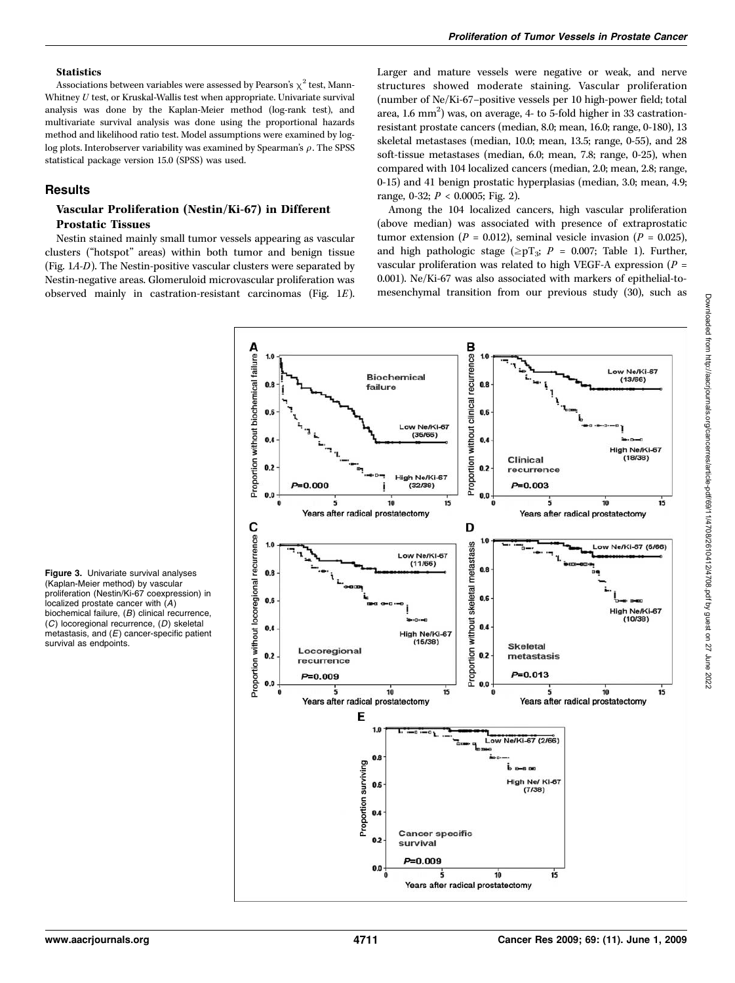#### **Statistics**

Associations between variables were assessed by Pearson's  $\chi^2$  test, Mann-Whitney  $U$  test, or Kruskal-Wallis test when appropriate. Univariate survival analysis was done by the Kaplan-Meier method (log-rank test), and multivariate survival analysis was done using the proportional hazards method and likelihood ratio test. Model assumptions were examined by loglog plots. Interobserver variability was examined by Spearman's  $\rho$ . The SPSS statistical package version 15.0 (SPSS) was used.

#### **Results**

## Vascular Proliferation (Nestin/Ki-67) in Different Prostatic Tissues

Nestin stained mainly small tumor vessels appearing as vascular clusters (''hotspot'' areas) within both tumor and benign tissue (Fig. 1A-D). The Nestin-positive vascular clusters were separated by Nestin-negative areas. Glomeruloid microvascular proliferation was observed mainly in castration-resistant carcinomas (Fig. 1E). Larger and mature vessels were negative or weak, and nerve structures showed moderate staining. Vascular proliferation (number of Ne/Ki-67–positive vessels per 10 high-power field; total area, 1.6 mm<sup>2</sup>) was, on average, 4- to 5-fold higher in 33 castrationresistant prostate cancers (median, 8.0; mean, 16.0; range, 0-180), 13 skeletal metastases (median, 10.0; mean, 13.5; range, 0-55), and 28 soft-tissue metastases (median, 6.0; mean, 7.8; range, 0-25), when compared with 104 localized cancers (median, 2.0; mean, 2.8; range, 0-15) and 41 benign prostatic hyperplasias (median, 3.0; mean, 4.9; range, 0-32;  $P < 0.0005$ ; Fig. 2).

Among the 104 localized cancers, high vascular proliferation (above median) was associated with presence of extraprostatic tumor extension ( $P = 0.012$ ), seminal vesicle invasion ( $P = 0.025$ ), and high pathologic stage ( $\geq pT_3$ ;  $P = 0.007$ ; Table 1). Further, vascular proliferation was related to high VEGF-A expression ( $P =$ 0.001). Ne/Ki-67 was also associated with markers of epithelial-tomesenchymal transition from our previous study (30), such as



Figure 3. Univariate survival analyses (Kaplan-Meier method) by vascular proliferation (Nestin/Ki-67 coexpression) in localized prostate cancer with (A) biochemical failure, (B) clinical recurrence, (C) locoregional recurrence, (D) skeletal metastasis, and  $(E)$  cancer-specific patient survival as endpoints.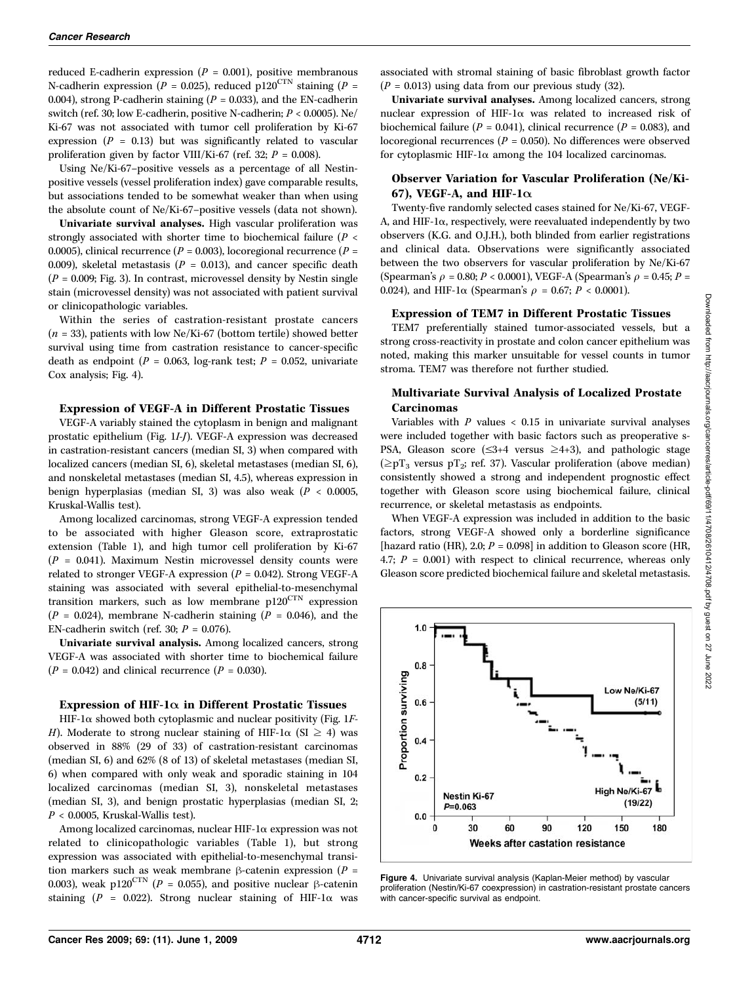reduced E-cadherin expression ( $P = 0.001$ ), positive membranous N-cadherin expression ( $P = 0.025$ ), reduced p120<sup>CTN</sup> staining ( $P =$ 0.004), strong P-cadherin staining ( $P = 0.033$ ), and the EN-cadherin switch (ref. 30; low E-cadherin, positive N-cadherin; P < 0.0005). Ne/ Ki-67 was not associated with tumor cell proliferation by Ki-67 expression ( $P = 0.13$ ) but was significantly related to vascular proliferation given by factor VIII/Ki-67 (ref. 32;  $P = 0.008$ ).

Using Ne/Ki-67–positive vessels as a percentage of all Nestinpositive vessels (vessel proliferation index) gave comparable results, but associations tended to be somewhat weaker than when using the absolute count of Ne/Ki-67–positive vessels (data not shown).

Univariate survival analyses. High vascular proliferation was strongly associated with shorter time to biochemical failure ( $P <$ 0.0005), clinical recurrence ( $P = 0.003$ ), locoregional recurrence ( $P =$ 0.009), skeletal metastasis ( $P = 0.013$ ), and cancer specific death  $(P = 0.009; Fig. 3)$ . In contrast, microvessel density by Nestin single stain (microvessel density) was not associated with patient survival or clinicopathologic variables.

Within the series of castration-resistant prostate cancers  $(n = 33)$ , patients with low Ne/Ki-67 (bottom tertile) showed better survival using time from castration resistance to cancer-specific death as endpoint ( $P = 0.063$ , log-rank test;  $P = 0.052$ , univariate Cox analysis; Fig. 4).

#### Expression of VEGF-A in Different Prostatic Tissues

VEGF-A variably stained the cytoplasm in benign and malignant prostatic epithelium (Fig. 1I-J). VEGF-A expression was decreased in castration-resistant cancers (median SI, 3) when compared with localized cancers (median SI, 6), skeletal metastases (median SI, 6), and nonskeletal metastases (median SI, 4.5), whereas expression in benign hyperplasias (median SI, 3) was also weak ( $P < 0.0005$ , Kruskal-Wallis test).

Among localized carcinomas, strong VEGF-A expression tended to be associated with higher Gleason score, extraprostatic extension (Table 1), and high tumor cell proliferation by Ki-67  $(P = 0.041)$ . Maximum Nestin microvessel density counts were related to stronger VEGF-A expression ( $P = 0.042$ ). Strong VEGF-A staining was associated with several epithelial-to-mesenchymal transition markers, such as low membrane  $p120^{\text{CTN}}$  expression  $(P = 0.024)$ , membrane N-cadherin staining  $(P = 0.046)$ , and the EN-cadherin switch (ref. 30;  $P = 0.076$ ).

Univariate survival analysis. Among localized cancers, strong VEGF-A was associated with shorter time to biochemical failure  $(P = 0.042)$  and clinical recurrence  $(P = 0.030)$ .

#### Expression of HIF-1 $\alpha$  in Different Prostatic Tissues

HIF-1 $\alpha$  showed both cytoplasmic and nuclear positivity (Fig. 1F-H). Moderate to strong nuclear staining of HIF-1 $\alpha$  (SI  $\geq$  4) was observed in 88% (29 of 33) of castration-resistant carcinomas (median SI, 6) and 62% (8 of 13) of skeletal metastases (median SI, 6) when compared with only weakand sporadic staining in 104 localized carcinomas (median SI, 3), nonskeletal metastases (median SI, 3), and benign prostatic hyperplasias (median SI, 2;  $P < 0.0005$ , Kruskal-Wallis test).

Among localized carcinomas, nuclear HIF-1a expression was not related to clinicopathologic variables (Table 1), but strong expression was associated with epithelial-to-mesenchymal transition markers such as weak membrane  $\beta$ -catenin expression (P = 0.003), weak p120<sup>CTN</sup> (P = 0.055), and positive nuclear  $\beta$ -catenin staining ( $P = 0.022$ ). Strong nuclear staining of HIF-1 $\alpha$  was

associated with stromal staining of basic fibroblast growth factor  $(P = 0.013)$  using data from our previous study (32).

Univariate survival analyses. Among localized cancers, strong nuclear expression of HIF-1 $\alpha$  was related to increased risk of biochemical failure ( $P = 0.041$ ), clinical recurrence ( $P = 0.083$ ), and locoregional recurrences ( $P = 0.050$ ). No differences were observed for cytoplasmic HIF-1 $\alpha$  among the 104 localized carcinomas.

### Observer Variation for Vascular Proliferation (Ne/Ki-67), VEGF-A, and HIF- $1\alpha$

Twenty-five randomly selected cases stained for Ne/Ki-67, VEGF-A, and HIF-1 $\alpha$ , respectively, were reevaluated independently by two observers (K.G. and O.J.H.), both blinded from earlier registrations and clinical data. Observations were significantly associated between the two observers for vascular proliferation by Ne/Ki-67 (Spearman's  $\rho = 0.80; P < 0.0001$ ), VEGF-A (Spearman's  $\rho = 0.45; P =$ 0.024), and HIF-1 $\alpha$  (Spearman's  $\rho = 0.67; P < 0.0001$ ).

## Expression of TEM7 in Different Prostatic Tissues

TEM7 preferentially stained tumor-associated vessels, but a strong cross-reactivity in prostate and colon cancer epithelium was noted, making this marker unsuitable for vessel counts in tumor stroma. TEM7 was therefore not further studied.

## Multivariate Survival Analysis of Localized Prostate **Carcinomas**

Variables with  $P$  values  $< 0.15$  in univariate survival analyses were included together with basic factors such as preoperative s-PSA, Gleason score ( $\leq$ 3+4 versus  $\geq$ 4+3), and pathologic stage  $(\geq pT_3$  versus pT<sub>2</sub>; ref. 37). Vascular proliferation (above median) consistently showed a strong and independent prognostic effect together with Gleason score using biochemical failure, clinical recurrence, or skeletal metastasis as endpoints.

When VEGF-A expression was included in addition to the basic factors, strong VEGF-A showed only a borderline significance [hazard ratio (HR), 2.0;  $P = 0.098$ ] in addition to Gleason score (HR, 4.7;  $P = 0.001$ ) with respect to clinical recurrence, whereas only Gleason score predicted biochemical failure and skeletal metastasis.



Figure 4. Univariate survival analysis (Kaplan-Meier method) by vascular proliferation (Nestin/Ki-67 coexpression) in castration-resistant prostate cancers with cancer-specific survival as endpoint.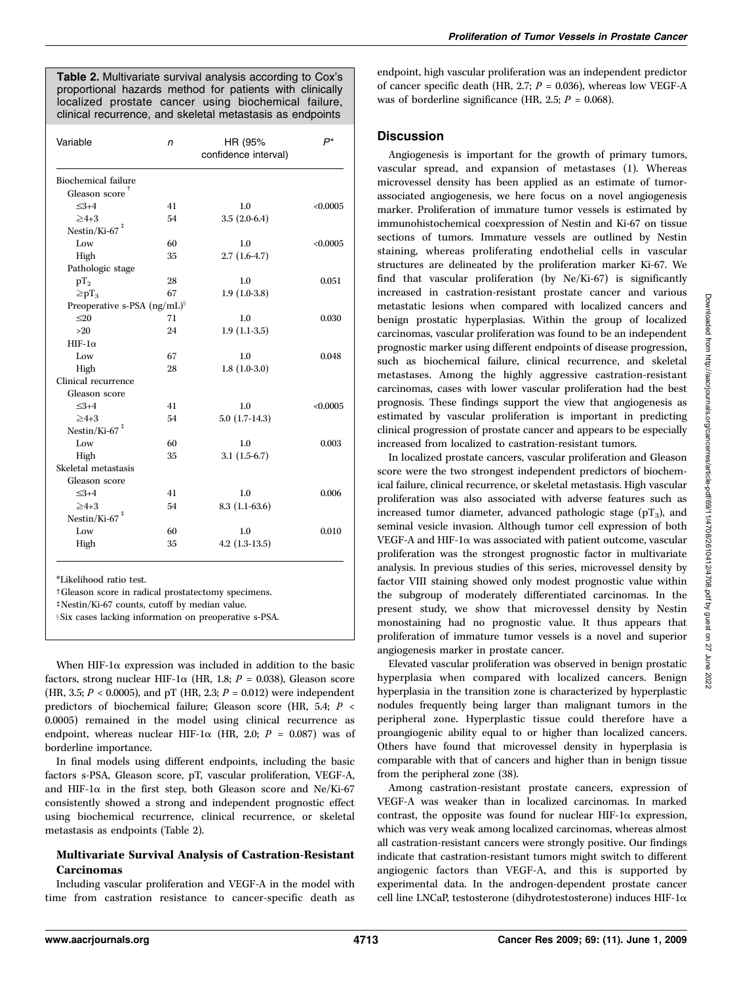Table 2. Multivariate survival analysis according to Cox's proportional hazards method for patients with clinically localized prostate cancer using biochemical failure, clinical recurrence, and skeletal metastasis as endpoints

| Variable                             | n  | HR (95%<br>confidence interval) | P*       |  |  |  |  |
|--------------------------------------|----|---------------------------------|----------|--|--|--|--|
| <b>Biochemical failure</b>           |    |                                 |          |  |  |  |  |
| Gleason score                        |    |                                 |          |  |  |  |  |
| $<3+4$                               | 41 | 1.0                             | < 0.0005 |  |  |  |  |
| $>4+3$                               | 54 | $3.5(2.0-6.4)$                  |          |  |  |  |  |
| Nestin/Ki-67 $†$                     |    |                                 |          |  |  |  |  |
| Low                                  | 60 | 1.0                             | < 0.0005 |  |  |  |  |
| High                                 | 35 | $2.7(1.6-4.7)$                  |          |  |  |  |  |
| Pathologic stage                     |    |                                 |          |  |  |  |  |
| $pT_2$                               | 28 | 1.0                             | 0.051    |  |  |  |  |
| $\geq pT_3$                          | 67 | $1.9(1.0-3.8)$                  |          |  |  |  |  |
| Preoperative s-PSA $(ng/mL)^{S}$     |    |                                 |          |  |  |  |  |
| $20$                                 | 71 | 1.0                             | 0.030    |  |  |  |  |
| $>20$                                | 24 | $1.9(1.1-3.5)$                  |          |  |  |  |  |
| $HIF-1\alpha$                        |    |                                 |          |  |  |  |  |
| Low                                  | 67 | 1.0                             | 0.048    |  |  |  |  |
| High                                 | 28 | $1.8(1.0-3.0)$                  |          |  |  |  |  |
| Clinical recurrence                  |    |                                 |          |  |  |  |  |
| Gleason score                        |    |                                 |          |  |  |  |  |
| $<3+4$                               | 41 | 1.0                             | < 0.0005 |  |  |  |  |
| $\geq 4+3$                           | 54 | $5.0(1.7-14.3)$                 |          |  |  |  |  |
| Nestin/Ki-67 $†$                     |    |                                 |          |  |  |  |  |
| Low                                  | 60 | 1.0                             | 0.003    |  |  |  |  |
| High                                 | 35 | $3.1(1.5-6.7)$                  |          |  |  |  |  |
| Skeletal metastasis                  |    |                                 |          |  |  |  |  |
| Gleason score                        |    |                                 |          |  |  |  |  |
| $\leq 3+4$                           | 41 | 1.0                             | 0.006    |  |  |  |  |
| $>4+3$                               | 54 | $8.3(1.1-63.6)$                 |          |  |  |  |  |
| Nestin/Ki-67 <sup><sup>‡</sup></sup> |    |                                 |          |  |  |  |  |
| Low                                  | 60 | 1.0                             | 0.010    |  |  |  |  |
| High                                 | 35 | $4.2$ $(1.3-13.5)$              |          |  |  |  |  |
|                                      |    |                                 |          |  |  |  |  |

\*Likelihood ratio test.

tGleason score in radical prostatectomy specimens.

 $\frac{1}{2}$ Nestin/Ki-67 counts, cutoff by median value.

**Six cases lacking information on preoperative s-PSA.** 

When HIF-1 $\alpha$  expression was included in addition to the basic factors, strong nuclear HIF-1 $\alpha$  (HR, 1.8; P = 0.038), Gleason score (HR, 3.5;  $P < 0.0005$  ), and pT (HR, 2.3;  $P = 0.012$  ) were independent predictors of biochemical failure; Gleason score (HR, 5.4; P < 0.0005) remained in the model using clinical recurrence as endpoint, whereas nuclear HIF-1 $\alpha$  (HR, 2.0;  $P = 0.087$ ) was of borderline importance.

In final models using different endpoints, including the basic factors s-PSA, Gleason score, pT, vascular proliferation, VEGF-A, and HIF-1 $\alpha$  in the first step, both Gleason score and Ne/Ki-67 consistently showed a strong and independent prognostic effect using biochemical recurrence, clinical recurrence, or skeletal metastasis as endpoints (Table 2).

## Multivariate Survival Analysis of Castration-Resistant Carcinomas

Including vascular proliferation and VEGF-A in the model with time from castration resistance to cancer-specific death as endpoint, high vascular proliferation was an independent predictor of cancer specific death (HR, 2.7;  $P = 0.036$ ), whereas low VEGF-A was of borderline significance (HR, 2.5;  $P = 0.068$ ).

## **Discussion**

Angiogenesis is important for the growth of primary tumors, vascular spread, and expansion of metastases (1). Whereas microvessel density has been applied as an estimate of tumorassociated angiogenesis, we here focus on a novel angiogenesis marker. Proliferation of immature tumor vessels is estimated by immunohistochemical coexpression of Nestin and Ki-67 on tissue sections of tumors. Immature vessels are outlined by Nestin staining, whereas proliferating endothelial cells in vascular structures are delineated by the proliferation marker Ki-67. We find that vascular proliferation (by Ne/Ki-67) is significantly increased in castration-resistant prostate cancer and various metastatic lesions when compared with localized cancers and benign prostatic hyperplasias. Within the group of localized carcinomas, vascular proliferation was found to be an independent prognostic marker using different endpoints of disease progression, such as biochemical failure, clinical recurrence, and skeletal metastases. Among the highly aggressive castration-resistant carcinomas, cases with lower vascular proliferation had the best prognosis. These findings support the view that angiogenesis as estimated by vascular proliferation is important in predicting clinical progression of prostate cancer and appears to be especially increased from localized to castration-resistant tumors.

In localized prostate cancers, vascular proliferation and Gleason score were the two strongest independent predictors of biochemical failure, clinical recurrence, or skeletal metastasis. High vascular proliferation was also associated with adverse features such as increased tumor diameter, advanced pathologic stage  $(pT_3)$ , and seminal vesicle invasion. Although tumor cell expression of both VEGF-A and HIF-1 $\alpha$  was associated with patient outcome, vascular proliferation was the strongest prognostic factor in multivariate analysis. In previous studies of this series, microvessel density by factor VIII staining showed only modest prognostic value within the subgroup of moderately differentiated carcinomas. In the present study, we show that microvessel density by Nestin monostaining had no prognostic value. It thus appears that proliferation of immature tumor vessels is a novel and superior angiogenesis marker in prostate cancer.

Elevated vascular proliferation was observed in benign prostatic hyperplasia when compared with localized cancers. Benign hyperplasia in the transition zone is characterized by hyperplastic nodules frequently being larger than malignant tumors in the peripheral zone. Hyperplastic tissue could therefore have a proangiogenic ability equal to or higher than localized cancers. Others have found that microvessel density in hyperplasia is comparable with that of cancers and higher than in benign tissue from the peripheral zone (38).

Among castration-resistant prostate cancers, expression of VEGF-A was weaker than in localized carcinomas. In marked contrast, the opposite was found for nuclear HIF-1 $\alpha$  expression, which was very weak among localized carcinomas, whereas almost all castration-resistant cancers were strongly positive. Our findings indicate that castration-resistant tumors might switch to different angiogenic factors than VEGF-A, and this is supported by experimental data. In the androgen-dependent prostate cancer cell line LNCaP, testosterone (dihydrotestosterone) induces HIF-1 $\alpha$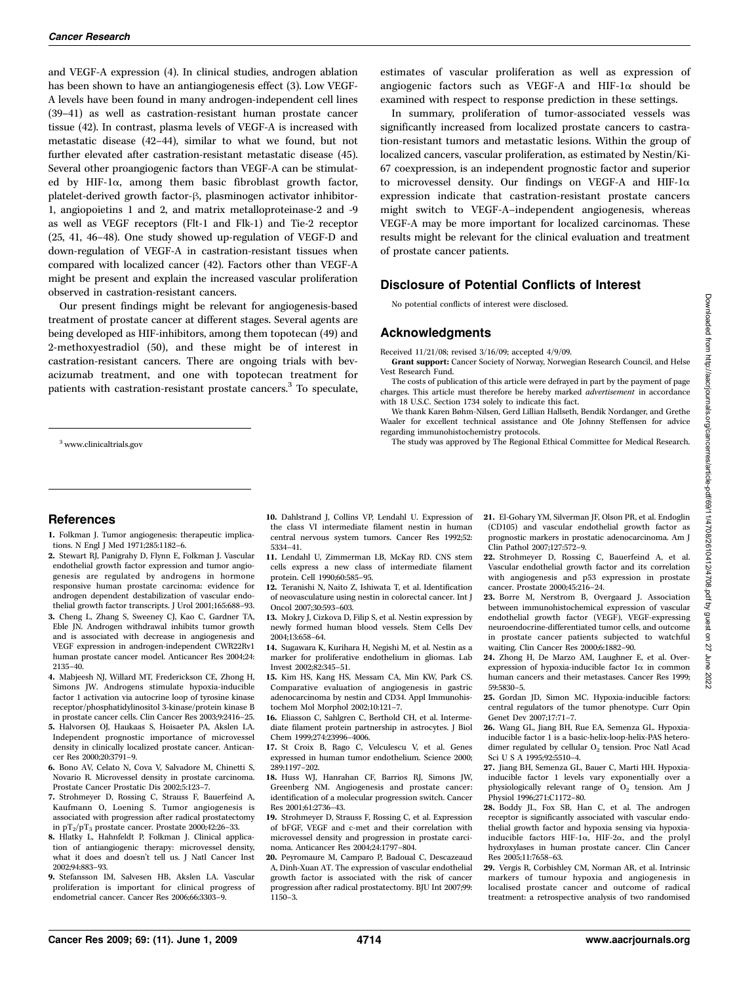and VEGF-A expression (4). In clinical studies, androgen ablation has been shown to have an antiangiogenesis effect (3). Low VEGF-A levels have been found in many androgen-independent cell lines (39–41) as well as castration-resistant human prostate cancer tissue (42). In contrast, plasma levels of VEGF-A is increased with metastatic disease (42–44), similar to what we found, but not further elevated after castration-resistant metastatic disease (45). Several other proangiogenic factors than VEGF-A can be stimulated by HIF-1a, among them basic fibroblast growth factor, platelet-derived growth factor- $\beta$ , plasminogen activator inhibitor-1, angiopoietins 1 and 2, and matrix metalloproteinase-2 and -9 as well as VEGF receptors (Flt-1 and Flk-1) and Tie-2 receptor (25, 41, 46–48). One study showed up-regulation of VEGF-D and down-regulation of VEGF-A in castration-resistant tissues when compared with localized cancer (42). Factors other than VEGF-A might be present and explain the increased vascular proliferation observed in castration-resistant cancers.

Our present findings might be relevant for angiogenesis-based treatment of prostate cancer at different stages. Several agents are being developed as HIF-inhibitors, among them topotecan (49) and 2-methoxyestradiol (50), and these might be of interest in castration-resistant cancers. There are ongoing trials with bevacizumab treatment, and one with topotecan treatment for patients with castration-resistant prostate cancers.<sup>3</sup> To speculate,

estimates of vascular proliferation as well as expression of angiogenic factors such as VEGF-A and HIF-1 $\alpha$  should be examined with respect to response prediction in these settings.

In summary, proliferation of tumor-associated vessels was significantly increased from localized prostate cancers to castration-resistant tumors and metastatic lesions. Within the group of localized cancers, vascular proliferation, as estimated by Nestin/Ki-67 coexpression, is an independent prognostic factor and superior to microvessel density. Our findings on VEGF-A and HIF-1 $\alpha$ expression indicate that castration-resistant prostate cancers might switch to VEGF-A–independent angiogenesis, whereas VEGF-A may be more important for localized carcinomas. These results might be relevant for the clinical evaluation and treatment of prostate cancer patients.

## Disclosure of Potential Conflicts of Interest

No potential conflicts of interest were disclosed.

## Acknowledgments

Received 11/21/08; revised 3/16/09; accepted 4/9/09.

Grant support: Cancer Society of Norway, Norwegian Research Council, and Helse Vest Research Fund.

The costs of publication of this article were defrayed in part by the payment of page charges. This article must therefore be hereby marked advertisement in accordance with 18 U.S.C. Section 1734 solely to indicate this fact.

We thank Karen Bøhm-Nilsen, Gerd Lillian Hallseth, Bendik Nordanger, and Grethe Waaler for excellent technical assistance and Ole Johnny Steffensen for advice regarding immunohistochemistry protocols.

<sup>3</sup> www.clinicaltrials.gov The study was approved by The Regional Ethical Committee for Medical Research.

## References

1. Folkman J. Tumor angiogenesis: therapeutic implications. N Engl J Med 1971;285:1182–6.

- 2. Stewart RJ, Panigrahy D, Flynn E, Folkman J. Vascular endothelial growth factor expression and tumor angiogenesis are regulated by androgens in hormone responsive human prostate carcinoma: evidence for androgen dependent destabilization of vascular endothelial growth factor transcripts. J Urol 2001;165:688–93.
- 3. Cheng L, Zhang S, Sweeney CJ, Kao C, Gardner TA, Eble JN. Androgen withdrawal inhibits tumor growth and is associated with decrease in angiogenesis and VEGF expression in androgen-independent CWR22Rv1 human prostate cancer model. Anticancer Res 2004;24: 2135–40.
- 4. Mabjeesh NJ, Willard MT, Frederickson CE, Zhong H, Simons JW. Androgens stimulate hypoxia-inducible factor 1 activation via autocrine loop of tyrosine kinase receptor/phosphatidylinositol 3-kinase/protein kinase B in prostate cancer cells. Clin Cancer Res 2003;9:2416–25.
- 5. Halvorsen OJ, Haukaas S, Hoisaeter PA, Akslen LA. Independent prognostic importance of microvessel density in clinically localized prostate cancer. Anticancer Res 2000;20:3791–9.
- 6. Bono AV, Celato N, Cova V, Salvadore M, Chinetti S, Novario R. Microvessel density in prostate carcinoma. Prostate Cancer Prostatic Dis 2002;5:123–7.
- 7. Strohmeyer D, Rossing C, Strauss F, Bauerfeind A, Kaufmann O, Loening S. Tumor angiogenesis is associated with progression after radical prostatectomy in  $\rm{pT_2/pT_3}$  prostate cancer. Prostate 2000;42:26–33.
- 8. Hlatky L, Hahnfeldt P, Folkman J. Clinical application of antiangiogenic therapy: microvessel density, what it does and doesn't tell us. J Natl Cancer Inst 2002;94:883–93.
- 9. Stefansson IM, Salvesen HB, Akslen LA. Vascular proliferation is important for clinical progress of endometrial cancer. Cancer Res 2006;66:3303–9.
- 10. Dahlstrand J, Collins VP, Lendahl U. Expression of the class VI intermediate filament nestin in human central nervous system tumors. Cancer Res 1992;52: 5334–41.
- 11. Lendahl U, Zimmerman LB, McKay RD. CNS stem cells express a new class of intermediate filament protein. Cell 1990;60:585–95.
- 12. Teranishi N, Naito Z, Ishiwata T, et al. Identification of neovasculature using nestin in colorectal cancer. Int J Oncol 2007;30:593–603.
- 13. Mokry J, Cizkova D, Filip S, et al. Nestin expression by newly formed human blood vessels. Stem Cells Dev 2004;13:658–64.

14. Sugawara K, Kurihara H, Negishi M, et al. Nestin as a marker for proliferative endothelium in gliomas. Lab Invest 2002;82:345–51.

15. Kim HS, Kang HS, Messam CA, Min KW, Park CS. Comparative evaluation of angiogenesis in gastric adenocarcinoma by nestin and CD34. Appl Immunohistochem Mol Morphol 2002;10:121–7.

16. Eliasson C, Sahlgren C, Berthold CH, et al. Intermediate filament protein partnership in astrocytes. J Biol Chem 1999;274:23996–4006.

17. St Croix B, Rago C, Velculescu V, et al. Genes expressed in human tumor endothelium. Science 2000; 289:1197–202.

18. Huss WJ, Hanrahan CF, Barrios RJ, Simons JW, Greenberg NM. Angiogenesis and prostate cancer: identification of a molecular progression switch. Cancer Res 2001;61:2736–43.

19. Strohmeyer D, Strauss F, Rossing C, et al. Expression of bFGF, VEGF and c-met and their correlation with microvessel density and progression in prostate carcinoma. Anticancer Res 2004;24:1797–804.

20. Peyromaure M, Camparo P, Badoual C, Descazeaud A, Dinh-Xuan AT. The expression of vascular endothelial growth factor is associated with the risk of cancer progression after radical prostatectomy. BJU Int 2007;99: 1150–3.

- 21. El-Gohary YM, Silverman JF, Olson PR, et al. Endoglin (CD105) and vascular endothelial growth factor as prognostic markers in prostatic adenocarcinoma. Am J Clin Pathol 2007;127:572–9.
- 22. Strohmeyer D, Rossing C, Bauerfeind A, et al. Vascular endothelial growth factor and its correlation with angiogenesis and p53 expression in prostate cancer. Prostate 2000;45:216–24.
- 23. Borre M, Nerstrom B, Overgaard J. Association between immunohistochemical expression of vascular endothelial growth factor (VEGF), VEGF-expressing neuroendocrine-differentiated tumor cells, and outcome in prostate cancer patients subjected to watchful waiting. Clin Cancer Res 2000;6:1882–90.
- 24. Zhong H, De Marzo AM, Laughner E, et al. Overexpression of hypoxia-inducible factor  $1\alpha$  in common human cancers and their metastases. Cancer Res 1999; 59:5830–5.
- 25. Gordan JD, Simon MC. Hypoxia-inducible factors: central regulators of the tumor phenotype. Curr Opin Genet Dev 2007;17:71–7.
- 26. Wang GL, Jiang BH, Rue EA, Semenza GL. Hypoxiainducible factor 1 is a basic-helix-loop-helix-PAS heterodimer regulated by cellular  $O<sub>2</sub>$  tension. Proc Natl Acad Sci U S A 1995;92:5510–4.
- 27. Jiang BH, Semenza GL, Bauer C, Marti HH. Hypoxiainducible factor 1 levels vary exponentially over a physiologically relevant range of O<sub>2</sub> tension. Am J Physiol 1996;271:C1172–80.
- 28. Boddy JL, Fox SB, Han C, et al. The androgen receptor is significantly associated with vascular endothelial growth factor and hypoxia sensing via hypoxiainducible factors HIF-1 $\alpha$ , HIF-2 $\alpha$ , and the prolyl hydroxylases in human prostate cancer. Clin Cancer Res 2005;11:7658–63.
- 29. Vergis R, Corbishley CM, Norman AR, et al. Intrinsic markers of tumour hypoxia and angiogenesis in localised prostate cancer and outcome of radical treatment: a retrospective analysis of two randomised